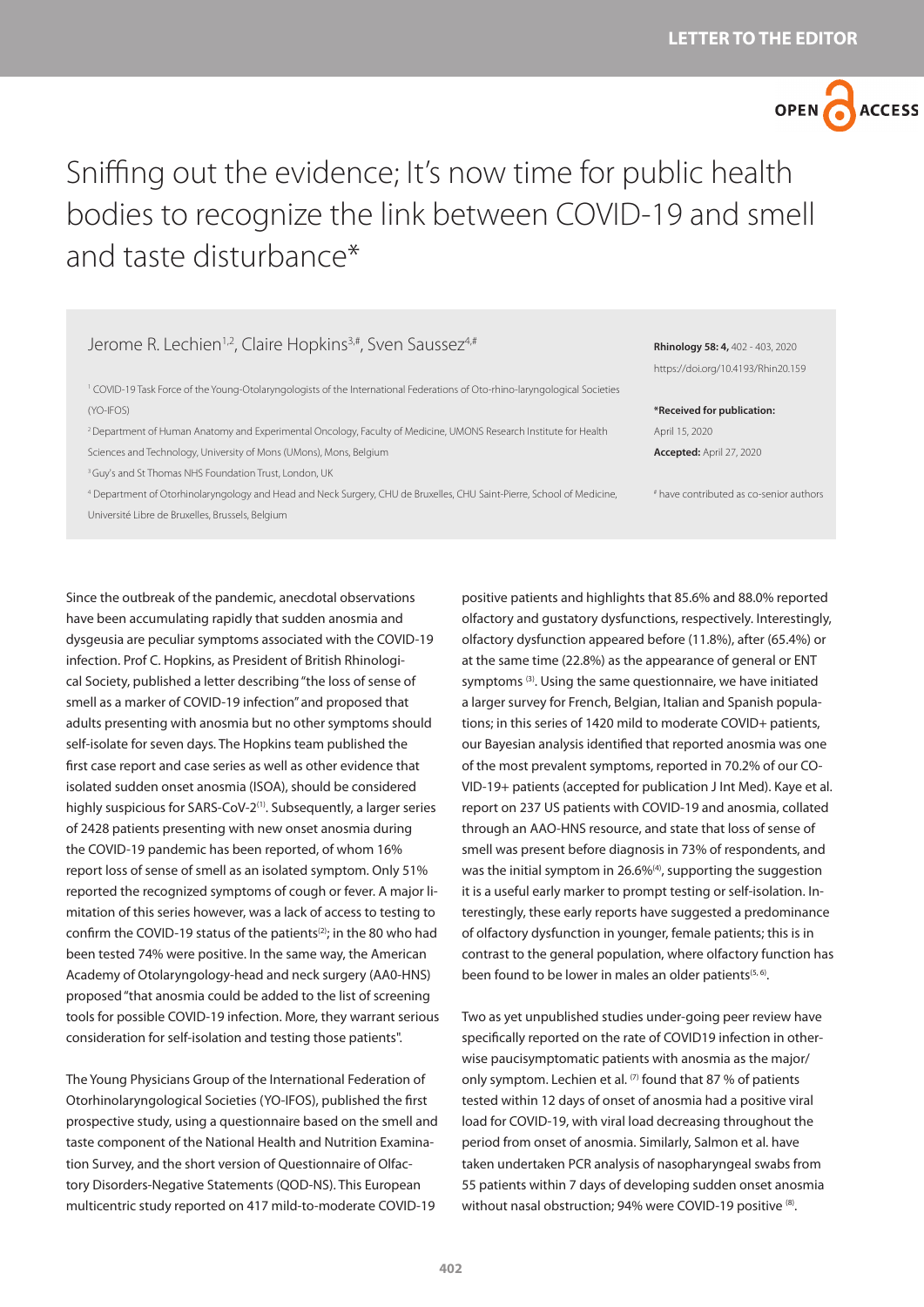## OPEN O **ACCESS**

## Sniffing out the evidence; It's now time for public health bodies to recognize the link between COVID-19 and smell and taste disturbance\*

## Jerome R. Lechien<sup>1,2</sup>, Claire Hopkins<sup>3,#</sup>, Sven Saussez<sup>4,#</sup>

1 COVID-19 Task Force of the Young-Otolaryngologists of the International Federations of Oto-rhino-laryngological Societies (YO-IFOS)

2 Department of Human Anatomy and Experimental Oncology, Faculty of Medicine, UMONS Research Institute for Health Sciences and Technology, University of Mons (UMons), Mons, Belgium

<sup>3</sup> Guy's and St Thomas NHS Foundation Trust, London, UK

4 Department of Otorhinolaryngology and Head and Neck Surgery, CHU de Bruxelles, CHU Saint-Pierre, School of Medicine, Université Libre de Bruxelles, Brussels, Belgium

**Rhinology 58: 4,** 402 - 403, 2020 https://doi.org/10.4193/Rhin20.159

**\*Received for publication:** April 15, 2020 **Accepted:** April 27, 2020

# have contributed as co-senior authors

Since the outbreak of the pandemic, anecdotal observations have been accumulating rapidly that sudden anosmia and dysgeusia are peculiar symptoms associated with the COVID-19 infection. Prof C. Hopkins, as President of British Rhinological Society, published a letter describing "the loss of sense of smell as a marker of COVID-19 infection" and proposed that adults presenting with anosmia but no other symptoms should self-isolate for seven days. The Hopkins team published the first case report and case series as well as other evidence that isolated sudden onset anosmia (ISOA), should be considered highly suspicious for SARS-CoV-2<sup>(1)</sup>. Subsequently, a larger series of 2428 patients presenting with new onset anosmia during the COVID-19 pandemic has been reported, of whom 16% report loss of sense of smell as an isolated symptom. Only 51% reported the recognized symptoms of cough or fever. A major limitation of this series however, was a lack of access to testing to confirm the COVID-19 status of the patients<sup>(2)</sup>; in the 80 who had been tested 74% were positive. In the same way, the American Academy of Otolaryngology-head and neck surgery (AA0-HNS) proposed "that anosmia could be added to the list of screening tools for possible COVID-19 infection. More, they warrant serious consideration for self-isolation and testing those patients".

The Young Physicians Group of the International Federation of Otorhinolaryngological Societies (YO-IFOS), published the first prospective study, using a questionnaire based on the smell and taste component of the National Health and Nutrition Examination Survey, and the short version of Questionnaire of Olfactory Disorders-Negative Statements (QOD-NS). This European multicentric study reported on 417 mild-to-moderate COVID-19

positive patients and highlights that 85.6% and 88.0% reported olfactory and gustatory dysfunctions, respectively. Interestingly, olfactory dysfunction appeared before (11.8%), after (65.4%) or at the same time (22.8%) as the appearance of general or ENT symptoms<sup>(3)</sup>. Using the same questionnaire, we have initiated a larger survey for French, Belgian, Italian and Spanish populations; in this series of 1420 mild to moderate COVID+ patients, our Bayesian analysis identified that reported anosmia was one of the most prevalent symptoms, reported in 70.2% of our CO-VID-19+ patients (accepted for publication J Int Med). Kaye et al. report on 237 US patients with COVID-19 and anosmia, collated through an AAO-HNS resource, and state that loss of sense of smell was present before diagnosis in 73% of respondents, and was the initial symptom in 26.6%<sup>(4)</sup>, supporting the suggestion it is a useful early marker to prompt testing or self-isolation. Interestingly, these early reports have suggested a predominance of olfactory dysfunction in younger, female patients; this is in contrast to the general population, where olfactory function has been found to be lower in males an older patients<sup>(5, 6)</sup>.

Two as yet unpublished studies under-going peer review have specifically reported on the rate of COVID19 infection in otherwise paucisymptomatic patients with anosmia as the major/ only symptom. Lechien et al.  $(7)$  found that 87 % of patients tested within 12 days of onset of anosmia had a positive viral load for COVID-19, with viral load decreasing throughout the period from onset of anosmia. Similarly, Salmon et al. have taken undertaken PCR analysis of nasopharyngeal swabs from 55 patients within 7 days of developing sudden onset anosmia without nasal obstruction; 94% were COVID-19 positive (8).